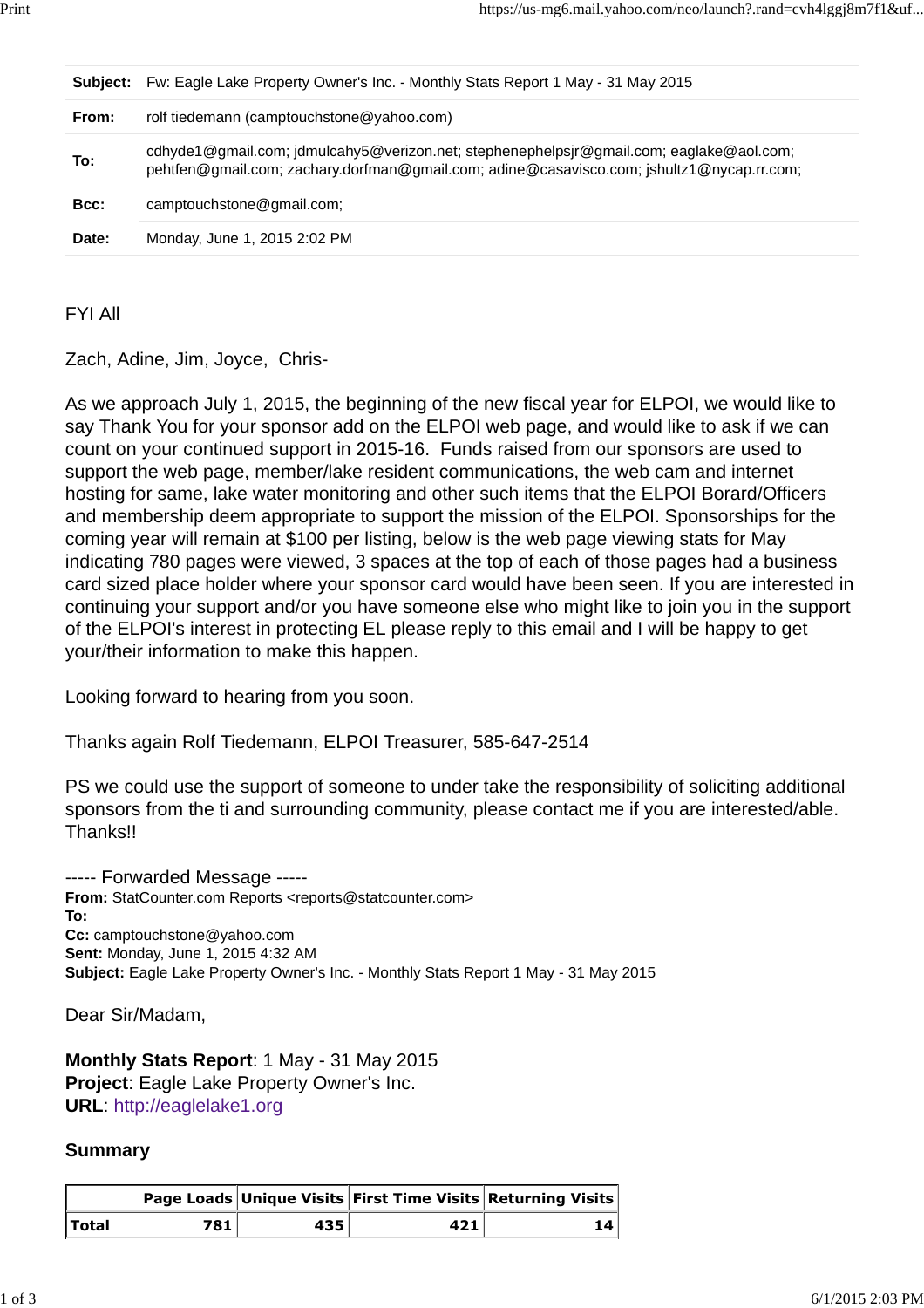| Subject: | Fw: Eagle Lake Property Owner's Inc. - Monthly Stats Report 1 May - 31 May 2015                                                                                                      |
|----------|--------------------------------------------------------------------------------------------------------------------------------------------------------------------------------------|
| From:    | rolf tiedemann (camptouchstone@yahoo.com)                                                                                                                                            |
| To:      | cdhyde1@gmail.com; jdmulcahy5@verizon.net; stephenephelpsjr@gmail.com; eaglake@aol.com;<br>pehtfen@gmail.com; zachary.dorfman@gmail.com; adine@casavisco.com; jshultz1@nycap.rr.com; |
| Bcc:     | camptouchstone@gmail.com;                                                                                                                                                            |
| Date:    | Monday, June 1, 2015 2:02 PM                                                                                                                                                         |
|          |                                                                                                                                                                                      |

FYI All

Zach, Adine, Jim, Joyce, Chris-

As we approach July 1, 2015, the beginning of the new fiscal year for ELPOI, we would like to say Thank You for your sponsor add on the ELPOI web page, and would like to ask if we can count on your continued support in 2015-16. Funds raised from our sponsors are used to support the web page, member/lake resident communications, the web cam and internet hosting for same, lake water monitoring and other such items that the ELPOI Borard/Officers and membership deem appropriate to support the mission of the ELPOI. Sponsorships for the coming year will remain at \$100 per listing, below is the web page viewing stats for May indicating 780 pages were viewed, 3 spaces at the top of each of those pages had a business card sized place holder where your sponsor card would have been seen. If you are interested in continuing your support and/or you have someone else who might like to join you in the support of the ELPOI's interest in protecting EL please reply to this email and I will be happy to get your/their information to make this happen.

Looking forward to hearing from you soon.

Thanks again Rolf Tiedemann, ELPOI Treasurer, 585-647-2514

PS we could use the support of someone to under take the responsibility of soliciting additional sponsors from the ti and surrounding community, please contact me if you are interested/able. Thanks!!

----- Forwarded Message ----- **From:** StatCounter.com Reports <reports@statcounter.com> **To: Cc:** camptouchstone@yahoo.com **Sent:** Monday, June 1, 2015 4:32 AM **Subject:** Eagle Lake Property Owner's Inc. - Monthly Stats Report 1 May - 31 May 2015

Dear Sir/Madam,

**Monthly Stats Report**: 1 May - 31 May 2015 **Project**: Eagle Lake Property Owner's Inc. **URL**: http://eaglelake1.org

## **Summary**

|              |     |     |     | Page Loads Unique Visits First Time Visits Returning Visits |
|--------------|-----|-----|-----|-------------------------------------------------------------|
| <b>Total</b> | 781 | 435 | 421 | 14                                                          |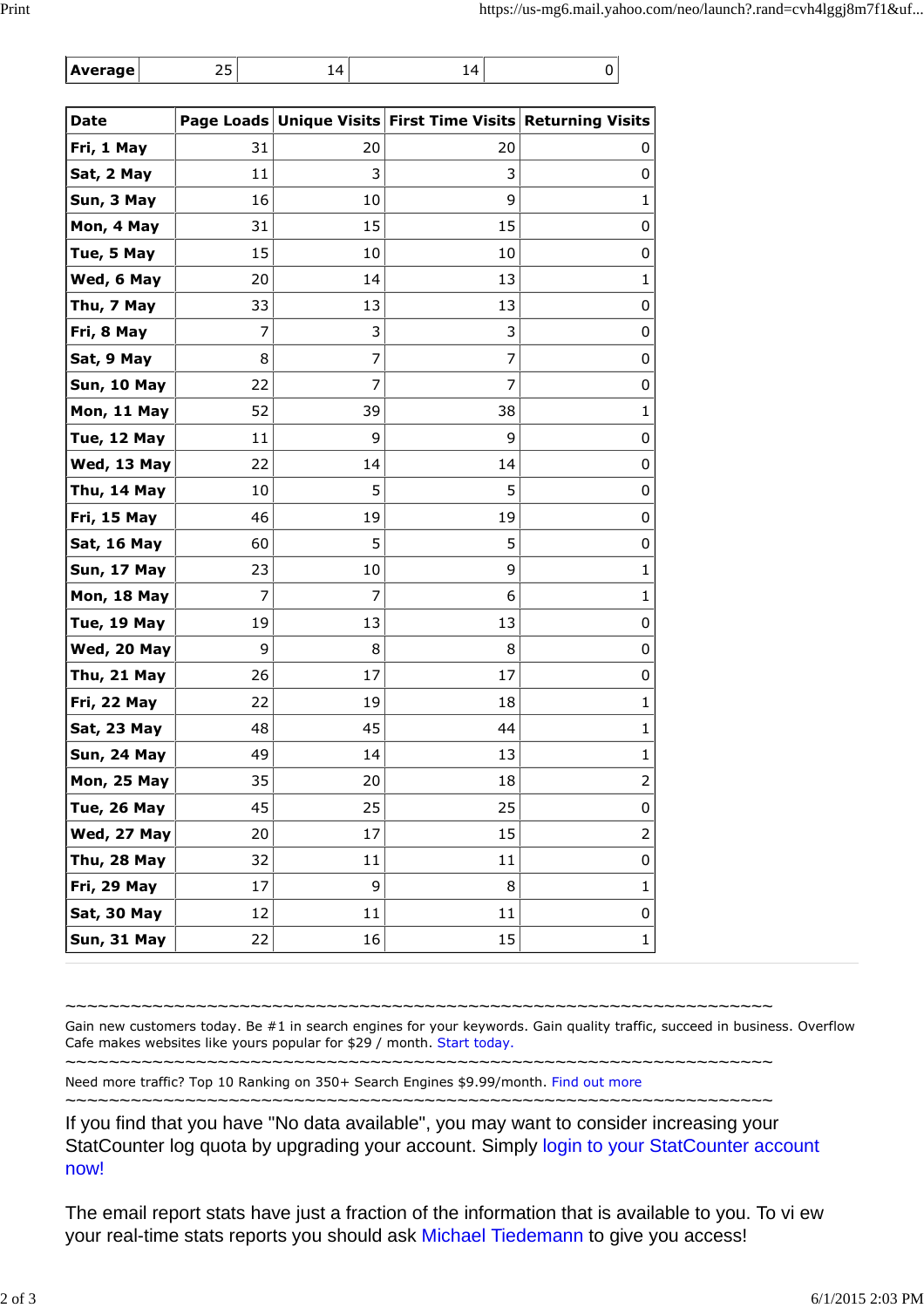|  | Average |  |  |  |  |
|--|---------|--|--|--|--|
|--|---------|--|--|--|--|

| <b>Date</b>        |    |    | Page Loads Unique Visits First Time Visits Returning Visits |             |
|--------------------|----|----|-------------------------------------------------------------|-------------|
| Fri, 1 May         | 31 | 20 | 20                                                          | 0           |
| Sat, 2 May         | 11 | 3  | 3                                                           | 0           |
| Sun, 3 May         | 16 | 10 | 9                                                           | 1           |
| Mon, 4 May         | 31 | 15 | 15                                                          | 0           |
| Tue, 5 May         | 15 | 10 | 10                                                          | 0           |
| Wed, 6 May         | 20 | 14 | 13                                                          | 1           |
| Thu, 7 May         | 33 | 13 | 13                                                          | 0           |
| Fri, 8 May         | 7  | 3  | 3                                                           | 0           |
| Sat, 9 May         | 8  | 7  | 7                                                           | 0           |
| Sun, 10 May        | 22 | 7  | 7                                                           | 0           |
| Mon, 11 May        | 52 | 39 | 38                                                          | 1           |
| Tue, 12 May        | 11 | 9  | 9                                                           | 0           |
| Wed, 13 May        | 22 | 14 | 14                                                          | 0           |
| Thu, 14 May        | 10 | 5  | 5                                                           | 0           |
| Fri, 15 May        | 46 | 19 | 19                                                          | 0           |
| Sat, 16 May        | 60 | 5  | 5                                                           | 0           |
| Sun, 17 May        | 23 | 10 | 9                                                           | 1           |
| Mon, 18 May        | 7  | 7  | 6                                                           | 1           |
| Tue, 19 May        | 19 | 13 | 13                                                          | 0           |
| Wed, 20 May        | 9  | 8  | 8                                                           | 0           |
| Thu, 21 May        | 26 | 17 | 17                                                          | 0           |
| Fri, 22 May        | 22 | 19 | 18                                                          | 1           |
| Sat, 23 May        | 48 | 45 | 44                                                          | 1           |
| Sun, 24 May        | 49 | 14 | 13                                                          | $\mathbf 1$ |
| <b>Mon, 25 May</b> | 35 | 20 | 18                                                          | 2           |
| Tue, 26 May        | 45 | 25 | 25                                                          | 0           |
| Wed, 27 May        | 20 | 17 | 15                                                          | 2           |
| Thu, 28 May        | 32 | 11 | 11                                                          | 0           |
| Fri, 29 May        | 17 | 9  | 8                                                           | $\mathbf 1$ |
| Sat, 30 May        | 12 | 11 | 11                                                          | 0           |
| Sun, 31 May        | 22 | 16 | 15                                                          | 1           |

~~~~~~~~~~~~~~~~~~~~~~~~~~~~~~~~~~~~~~~~~~~~~~~~~~~~~~~~~~~~~~~~~

~~~~~~~~~~~~~~~~~~~~~~~~~~~~~~~~~~~~~~~~~~~~~~~~~~~~~~~~~~~~~~~~~

Gain new customers today. Be #1 in search engines for your keywords. Gain quality traffic, succeed in business. Overflow Cafe makes websites like yours popular for \$29 / month. Start today.

Need more traffic? Top 10 Ranking on 350+ Search Engines \$9.99/month. Find out more

~~~~~~~~~~~~~~~~~~~~~~~~~~~~~~~~~~~~~~~~~~~~~~~~~~~~~~~~~~~~~~~~~

If you find that you have "No data available", you may want to consider increasing your StatCounter log quota by upgrading your account. Simply login to your StatCounter account now!

The email report stats have just a fraction of the information that is available to you. To vi ew your real-time stats reports you should ask Michael Tiedemann to give you access!